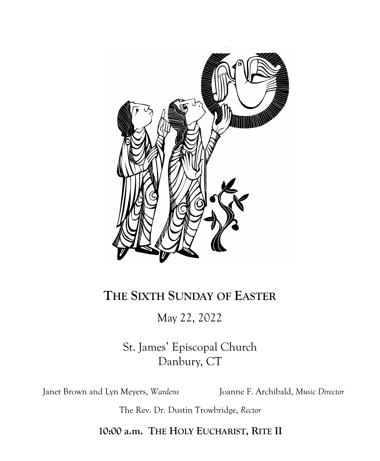

# **THE SIXTH SUNDAY OF EASTER**

# May 22, 2022

St. James' Episcopal Church Danbury, CT

Janet Brown and Lyn Meyers, *Wardens* Joanne F. Archibald, *Music Director*

The Rev. Dr. Dustin Trowbridge, *Rector*

**10:00 a.m. THE HOLY EUCHARIST, RITE II**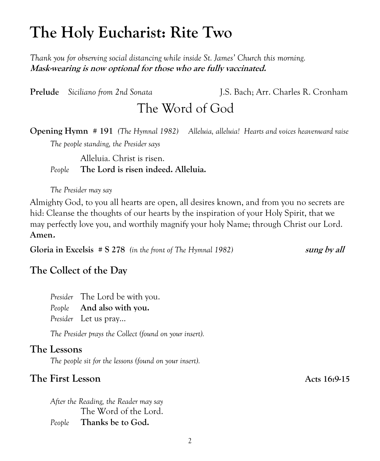# **The Holy Eucharist: Rite Two**

*Thank you for observing social distancing while inside St. James' Church this morning.* **Mask-wearing is now optional for those who are fully vaccinated.** 

**Prelude** *Siciliano from 2nd Sonata* J.S. Bach; Arr. Charles R. Cronham The Word of God

**Opening Hymn # 191** *(The Hymnal 1982) Alleluia, alleluia! Hearts and voices heavenward raise*

*The people standing, the Presider says*

Alleluia. Christ is risen. *People* **The Lord is risen indeed. Alleluia.**

*The Presider may say*

Almighty God, to you all hearts are open, all desires known, and from you no secrets are hid: Cleanse the thoughts of our hearts by the inspiration of your Holy Spirit, that we may perfectly love you, and worthily magnify your holy Name; through Christ our Lord. **Amen.**

**Gloria in Excelsis # S 278** *(in the front of The Hymnal 1982)* **sung by all** 

### **The Collect of the Day**

*Presider* The Lord be with you. *People* **And also with you.** *Presider* Let us pray...

*The Presider prays the Collect (found on your insert).*

### **The Lessons**

*The people sit for the lessons (found on your insert).*

#### **The First Lesson Acts 16:9-15**

*After the Reading, the Reader may say* The Word of the Lord. *People* **Thanks be to God.**

2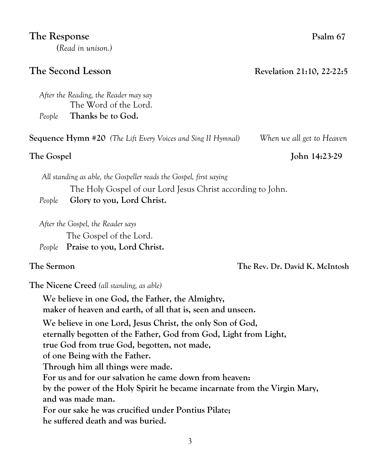#### **The Response** Psalm 67

**(***Read in unison.)*

*After the Reading, the Reader may say*  The Word of the Lord. *People* **Thanks be to God.**

**Sequence Hymn #20** *(The Lift Every Voices and Sing II Hymnal) When we all get to Heaven*

 *All standing as able, the Gospeller reads the Gospel, first saying* The Holy Gospel of our Lord Jesus Christ according to John. *People* **Glory to you, Lord Christ.**

*After the Gospel, the Reader says* The Gospel of the Lord. *People* **Praise to you, Lord Christ.**

**The Nicene Creed** *(all standing, as able)*

**We believe in one God, the Father, the Almighty, maker of heaven and earth, of all that is, seen and unseen. We believe in one Lord, Jesus Christ, the only Son of God, eternally begotten of the Father, God from God, Light from Light, true God from true God, begotten, not made, of one Being with the Father. Through him all things were made. For us and for our salvation he came down from heaven: by the power of the Holy Spirit he became incarnate from the Virgin Mary, and was made man. For our sake he was crucified under Pontius Pilate; he suffered death and was buried.**

**The Second Lesson Revelation 21:10, 22-22:5**

**The Gospel John 14:23-29**

**The Sermon The Rev. Dr. David K. McIntosh**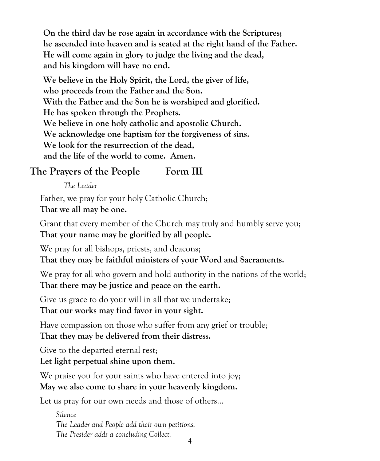**On the third day he rose again in accordance with the Scriptures; he ascended into heaven and is seated at the right hand of the Father. He will come again in glory to judge the living and the dead, and his kingdom will have no end.**

**We believe in the Holy Spirit, the Lord, the giver of life, who proceeds from the Father and the Son. With the Father and the Son he is worshiped and glorified. He has spoken through the Prophets. We believe in one holy catholic and apostolic Church. We acknowledge one baptism for the forgiveness of sins. We look for the resurrection of the dead, and the life of the world to come. Amen.**

# **The Prayers of the People Form III**

*The Leader*

Father, we pray for your holy Catholic Church; **That we all may be one.**

Grant that every member of the Church may truly and humbly serve you; **That your name may be glorified by all people.**

We pray for all bishops, priests, and deacons;

**That they may be faithful ministers of your Word and Sacraments.**

We pray for all who govern and hold authority in the nations of the world; **That there may be justice and peace on the earth.**

Give us grace to do your will in all that we undertake;

**That our works may find favor in your sight.**

Have compassion on those who suffer from any grief or trouble; **That they may be delivered from their distress.**

Give to the departed eternal rest;

**Let light perpetual shine upon them.**

We praise you for your saints who have entered into joy; **May we also come to share in your heavenly kingdom.**

Let us pray for our own needs and those of others...

*Silence The Leader and People add their own petitions. The Presider adds a concluding Collect.*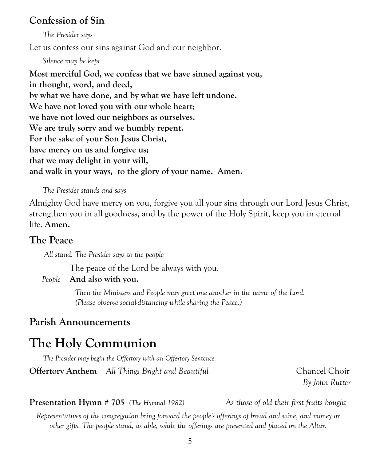### **Confession of Sin**

*The Presider says*

Let us confess our sins against God and our neighbor.

*Silence may be kept*

**Most merciful God, we confess that we have sinned against you, in thought, word, and deed, by what we have done, and by what we have left undone. We have not loved you with our whole heart; we have not loved our neighbors as ourselves. We are truly sorry and we humbly repent. For the sake of your Son Jesus Christ, have mercy on us and forgive us; that we may delight in your will, and walk in your ways, to the glory of your name. Amen.**

#### *The Presider stands and says*

Almighty God have mercy on you, forgive you all your sins through our Lord Jesus Christ, strengthen you in all goodness, and by the power of the Holy Spirit, keep you in eternal life. **Amen.**

## **The Peace**

 *All stand. The Presider says to the people*

The peace of the Lord be always with you.

#### *People* **And also with you.**

*Then the Ministers and People may greet one another in the name of the Lord. (Please observe social-distancing while sharing the Peace.)*

# **Parish Announcements**

# **The Holy Communion**

*The Presider may begin the Offertory with an Offertory Sentence.* 

**Offertory Anthem** *All Things Bright and Beautiful* Chancel Choir

*By John Rutter*

### **Presentation Hymn # 705** *(The Hymnal 1982) As those of old their first fruits bought*

*Representatives of the congregation bring forward the people's offerings of bread and wine, and money or other gifts. The people stand, as able, while the offerings are presented and placed on the Altar.*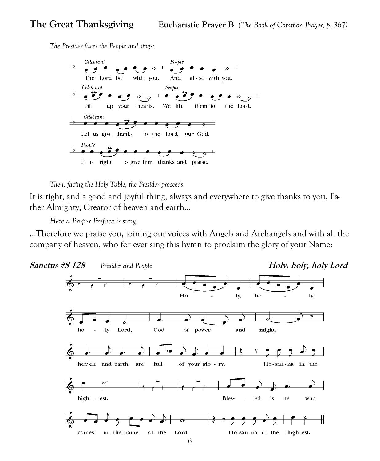*The Presider faces the People and sings:*



*Then, facing the Holy Table, the Presider proceeds*

It is right, and a good and joyful thing, always and everywhere to give thanks to you, Father Almighty, Creator of heaven and earth…

*Here a [Proper Preface](http://www.bcponline.org/HE/pphe2.htm) is sung.*

...Therefore we praise you, joining our voices with Angels and Archangels and with all the company of heaven, who for ever sing this hymn to proclaim the glory of your Name:

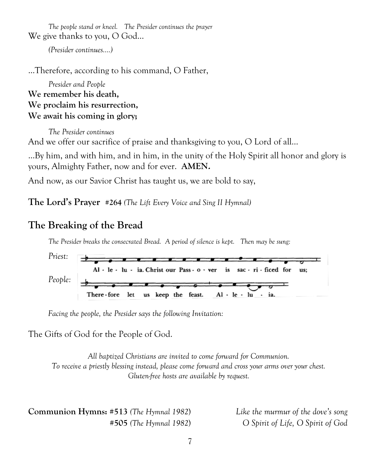*The people stand or kneel. The Presider continues the prayer* We give thanks to you, O God...

*(Presider continues….)*

…Therefore, according to his command, O Father,

*Presider and People* **We remember his death, We proclaim his resurrection, We await his coming in glory;**

*The Presider continues* And we offer our sacrifice of praise and thanksgiving to you, O Lord of all…

…By him, and with him, and in him, in the unity of the Holy Spirit all honor and glory is yours, Almighty Father, now and for ever. **AMEN.**

And now, as our Savior Christ has taught us, we are bold to say,

**The Lord's Prayer #264** *(The Lift Every Voice and Sing II Hymnal)*

# **The Breaking of the Bread**

*The Presider breaks the consecrated Bread. A period of silence is kept. Then may be sung:*



*Facing the people, the Presider says the following Invitation:*

The Gifts of God for the People of God.

*All baptized Christians are invited to come forward for Communion. To receive a priestly blessing instead, please come forward and cross your arms over your chest. Gluten-free hosts are available by request.*

**Communion Hymns: #513** *(The Hymnal 1982*)*Like the murmur of the dove's song*

 **#505** *(The Hymnal 1982*)*O Spirit of Life, O Spirit of God*